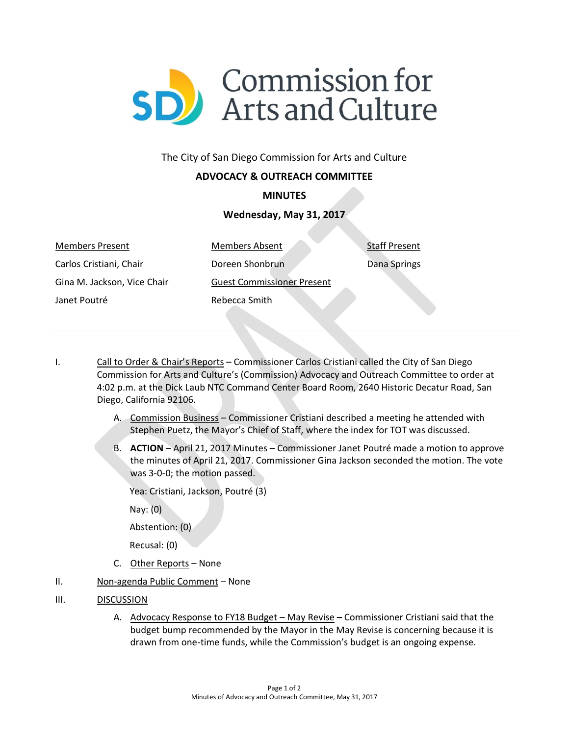

### The City of San Diego Commission for Arts and Culture

# **ADVOCACY & OUTREACH COMMITTEE**

### **MINUTES**

# **Wednesday, May 31, 2017**

Members Present Carlos Cristiani, Chair Gina M. Jackson, Vice Chair Janet Poutré

Members Absent Doreen Shonbrun Guest Commissioner Present Rebecca Smith

Staff Present

Dana Springs

- I. Call to Order & Chair's Reports Commissioner Carlos Cristiani called the City of San Diego Commission for Arts and Culture's (Commission) Advocacy and Outreach Committee to order at 4:02 p.m. at the Dick Laub NTC Command Center Board Room, 2640 Historic Decatur Road, San Diego, California 92106.
	- A. Commission Business Commissioner Cristiani described a meeting he attended with Stephen Puetz, the Mayor's Chief of Staff, where the index for TOT was discussed.
	- B. **ACTION** April 21, 2017 Minutes Commissioner Janet Poutré made a motion to approve the minutes of April 21, 2017. Commissioner Gina Jackson seconded the motion. The vote was 3-0-0; the motion passed.

Yea: Cristiani, Jackson, Poutré (3)

Nay: (0)

Abstention: (0)

Recusal: (0)

- C. Other Reports None
- II. Non-agenda Public Comment None
- III. DISCUSSION
	- A. Advocacy Response to FY18 Budget May Revise **–** Commissioner Cristiani said that the budget bump recommended by the Mayor in the May Revise is concerning because it is drawn from one-time funds, while the Commission's budget is an ongoing expense.